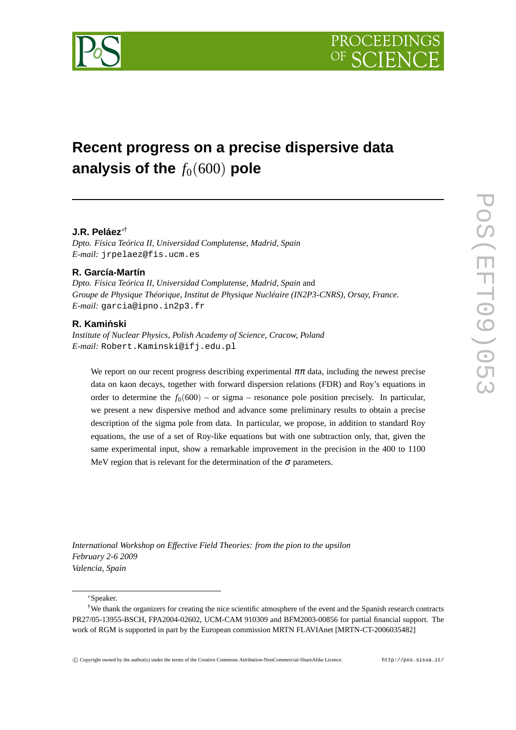

# **Recent progress on a precise dispersive data** analysis of the  $f_0(600)$  pole

## **J.R. Peláez**∗†

*Dpto. Física Teórica II, Universidad Complutense, Madrid, Spain E-mail:* jrpelaez@fis.ucm.es

### **R. García-Martín**

*Dpto. Física Teórica II, Universidad Complutense, Madrid, Spain* and *Groupe de Physique Théorique, Institut de Physique Nucléaire (IN2P3-CNRS), Orsay, France. E-mail:* garcia@ipno.in2p3.fr

## **R. Kaminski ´**

*Institute of Nuclear Physics, Polish Academy of Science, Cracow, Poland E-mail:* Robert.Kaminski@ifj.edu.pl

We report on our recent progress describing experimental  $\pi\pi$  data, including the newest precise data on kaon decays, together with forward dispersion relations (FDR) and Roy's equations in order to determine the  $f_0(600)$  – or sigma – resonance pole position precisely. In particular, we present a new dispersive method and advance some preliminary results to obtain a precise description of the sigma pole from data. In particular, we propose, in addition to standard Roy equations, the use of a set of Roy-like equations but with one subtraction only, that, given the same experimental input, show a remarkable improvement in the precision in the 400 to 1100 MeV region that is relevant for the determination of the  $\sigma$  parameters.

*International Workshop on Effective Field Theories: from the pion to the upsilon February 2-6 2009 Valencia, Spain*

∗Speaker.

<sup>†</sup>We thank the organizers for creating the nice scientific atmosphere of the event and the Spanish research contracts PR27/05-13955-BSCH, FPA2004-02602, UCM-CAM 910309 and BFM2003-00856 for partial financial support. The work of RGM is supported in part by the European commission MRTN FLAVIAnet [MRTN-CT-2006035482]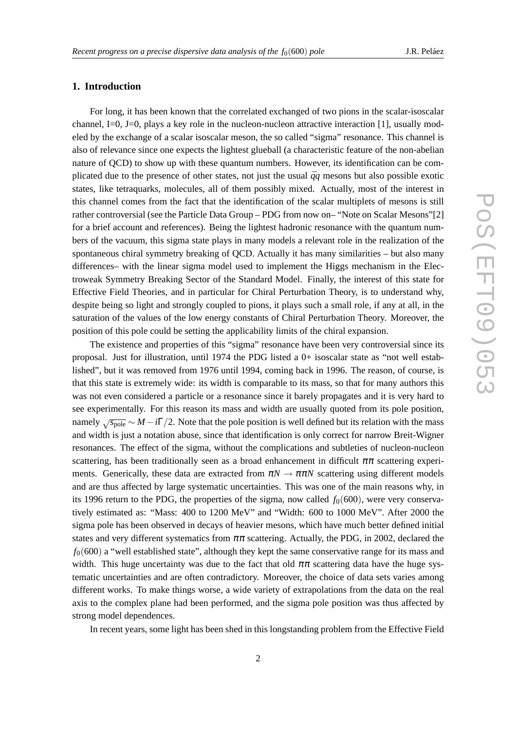## **1. Introduction**

For long, it has been known that the correlated exchanged of two pions in the scalar-isoscalar channel, I=0, J=0, plays a key role in the nucleon-nucleon attractive interaction [1], usually modeled by the exchange of a scalar isoscalar meson, the so called "sigma" resonance. This channel is also of relevance since one expects the lightest glueball (a characteristic feature of the non-abelian nature of QCD) to show up with these quantum numbers. However, its identification can be complicated due to the presence of other states, not just the usual  $\bar{q}q$  mesons but also possible exotic states, like tetraquarks, molecules, all of them possibly mixed. Actually, most of the interest in this channel comes from the fact that the identification of the scalar multiplets of mesons is still rather controversial (see the Particle Data Group – PDG from now on– "Note on Scalar Mesons"[2] for a brief account and references). Being the lightest hadronic resonance with the quantum numbers of the vacuum, this sigma state plays in many models a relevant role in the realization of the spontaneous chiral symmetry breaking of QCD. Actually it has many similarities – but also many differences– with the linear sigma model used to implement the Higgs mechanism in the Electroweak Symmetry Breaking Sector of the Standard Model. Finally, the interest of this state for Effective Field Theories, and in particular for Chiral Perturbation Theory, is to understand why, despite being so light and strongly coupled to pions, it plays such a small role, if any at all, in the saturation of the values of the low energy constants of Chiral Perturbation Theory. Moreover, the position of this pole could be setting the applicability limits of the chiral expansion.

The existence and properties of this "sigma" resonance have been very controversial since its proposal. Just for illustration, until 1974 the PDG listed a 0+ isoscalar state as "not well established", but it was removed from 1976 until 1994, coming back in 1996. The reason, of course, is that this state is extremely wide: its width is comparable to its mass, so that for many authors this was not even considered a particle or a resonance since it barely propagates and it is very hard to see experimentally. For this reason its mass and width are usually quoted from its pole position, namely  $\sqrt{s_{\text{pole}}} \sim M - i\Gamma/2$ . Note that the pole position is well defined but its relation with the mass and width is just a notation abuse, since that identification is only correct for narrow Breit-Wigner resonances. The effect of the sigma, without the complications and subtleties of nucleon-nucleon scattering, has been traditionally seen as a broad enhancement in difficult  $\pi\pi$  scattering experiments. Generically, these data are extracted from  $\pi N \to \pi \pi N$  scattering using different models and are thus affected by large systematic uncertainties. This was one of the main reasons why, in its 1996 return to the PDG, the properties of the sigma, now called  $f_0(600)$ , were very conservatively estimated as: "Mass: 400 to 1200 MeV" and "Width: 600 to 1000 MeV". After 2000 the sigma pole has been observed in decays of heavier mesons, which have much better defined initial states and very different systematics from  $\pi\pi$  scattering. Actually, the PDG, in 2002, declared the  $f<sub>0</sub>(600)$  a "well established state", although they kept the same conservative range for its mass and width. This huge uncertainty was due to the fact that old  $\pi\pi$  scattering data have the huge systematic uncertainties and are often contradictory. Moreover, the choice of data sets varies among different works. To make things worse, a wide variety of extrapolations from the data on the real axis to the complex plane had been performed, and the sigma pole position was thus affected by strong model dependences.

In recent years, some light has been shed in this longstanding problem from the Effective Field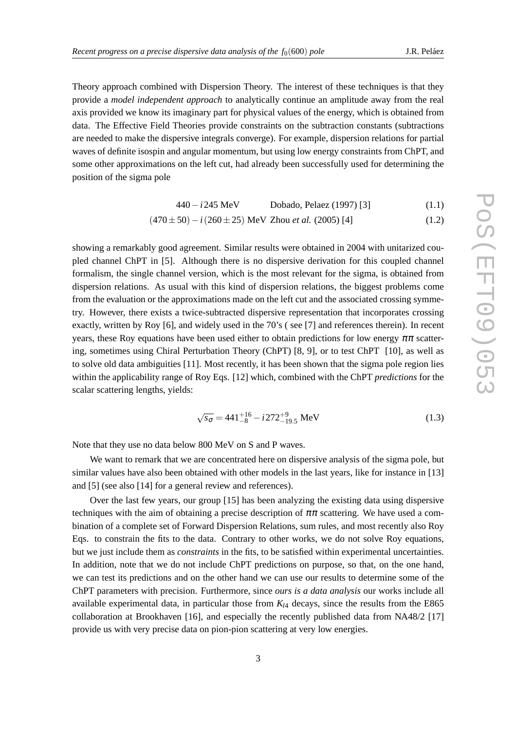Theory approach combined with Dispersion Theory. The interest of these techniques is that they provide a *model independent approach* to analytically continue an amplitude away from the real axis provided we know its imaginary part for physical values of the energy, which is obtained from data. The Effective Field Theories provide constraints on the subtraction constants (subtractions are needed to make the dispersive integrals converge). For example, dispersion relations for partial waves of definite isospin and angular momentum, but using low energy constraints from ChPT, and some other approximations on the left cut, had already been successfully used for determining the position of the sigma pole

$$
440 - i245 \text{ MeV} \qquad \text{Dobado, Pelaez (1997) [3]}
$$
 (1.1)

$$
(470 \pm 50) - i (260 \pm 25) \text{ MeV}
$$
 Zhou *et al.* (2005) [4] (1.2)

showing a remarkably good agreement. Similar results were obtained in 2004 with unitarized coupled channel ChPT in [5]. Although there is no dispersive derivation for this coupled channel formalism, the single channel version, which is the most relevant for the sigma, is obtained from dispersion relations. As usual with this kind of dispersion relations, the biggest problems come from the evaluation or the approximations made on the left cut and the associated crossing symmetry. However, there exists a twice-subtracted dispersive representation that incorporates crossing exactly, written by Roy [6], and widely used in the 70's ( see [7] and references therein). In recent years, these Roy equations have been used either to obtain predictions for low energy  $\pi\pi$  scattering, sometimes using Chiral Perturbation Theory (ChPT) [8, 9], or to test ChPT [10], as well as to solve old data ambiguities [11]. Most recently, it has been shown that the sigma pole region lies within the applicability range of Roy Eqs. [12] which, combined with the ChPT *predictions* for the scalar scattering lengths, yields:

$$
\sqrt{s_{\sigma}} = 441^{+16}_{-8} - i272^{+9}_{-19.5} \text{ MeV}
$$
 (1.3)

Note that they use no data below 800 MeV on S and P waves.

We want to remark that we are concentrated here on dispersive analysis of the sigma pole, but similar values have also been obtained with other models in the last years, like for instance in [13] and [5] (see also [14] for a general review and references).

Over the last few years, our group [15] has been analyzing the existing data using dispersive techniques with the aim of obtaining a precise description of  $\pi\pi$  scattering. We have used a combination of a complete set of Forward Dispersion Relations, sum rules, and most recently also Roy Eqs. to constrain the fits to the data. Contrary to other works, we do not solve Roy equations, but we just include them as *constraints* in the fits, to be satisfied within experimental uncertainties. In addition, note that we do not include ChPT predictions on purpose, so that, on the one hand, we can test its predictions and on the other hand we can use our results to determine some of the ChPT parameters with precision. Furthermore, since *ours is a data analysis* our works include all available experimental data, in particular those from  $K_{14}$  decays, since the results from the E865 collaboration at Brookhaven [16], and especially the recently published data from NA48/2 [17] provide us with very precise data on pion-pion scattering at very low energies.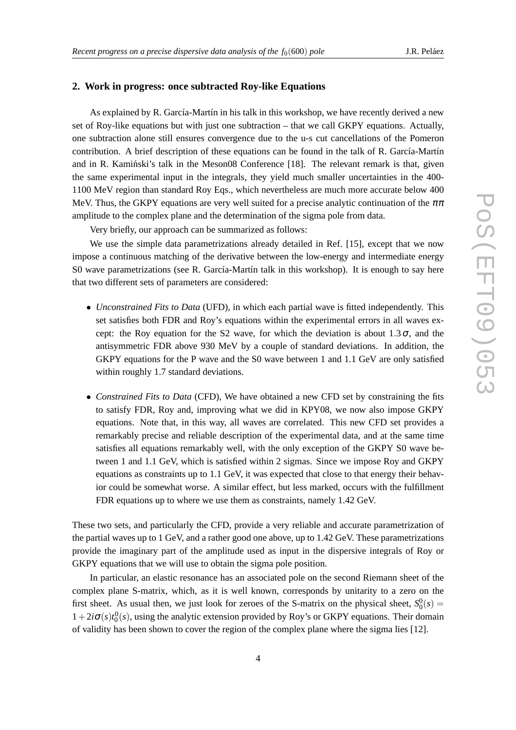#### **2. Work in progress: once subtracted Roy-like Equations**

As explained by R. García-Martín in his talk in this workshop, we have recently derived a new set of Roy-like equations but with just one subtraction – that we call GKPY equations. Actually, one subtraction alone still ensures convergence due to the u-s cut cancellations of the Pomeron contribution. A brief description of these equations can be found in the talk of R. García-Martín and in R. Kaminski's talk in the Meson08 Conference  $[18]$ . The relevant remark is that, given the same experimental input in the integrals, they yield much smaller uncertainties in the 400- 1100 MeV region than standard Roy Eqs., which nevertheless are much more accurate below 400 MeV. Thus, the GKPY equations are very well suited for a precise analytic continuation of the  $\pi\pi$ amplitude to the complex plane and the determination of the sigma pole from data.

Very briefly, our approach can be summarized as follows:

We use the simple data parametrizations already detailed in Ref. [15], except that we now impose a continuous matching of the derivative between the low-energy and intermediate energy S0 wave parametrizations (see R. García-Martín talk in this workshop). It is enough to say here that two different sets of parameters are considered:

- *Unconstrained Fits to Data* (UFD), in which each partial wave is fitted independently. This set satisfies both FDR and Roy's equations within the experimental errors in all waves except: the Roy equation for the S2 wave, for which the deviation is about  $1.3\sigma$ , and the antisymmetric FDR above 930 MeV by a couple of standard deviations. In addition, the GKPY equations for the P wave and the S0 wave between 1 and 1.1 GeV are only satisfied within roughly 1.7 standard deviations.
- *Constrained Fits to Data* (CFD), We have obtained a new CFD set by constraining the fits to satisfy FDR, Roy and, improving what we did in KPY08, we now also impose GKPY equations. Note that, in this way, all waves are correlated. This new CFD set provides a remarkably precise and reliable description of the experimental data, and at the same time satisfies all equations remarkably well, with the only exception of the GKPY S0 wave between 1 and 1.1 GeV, which is satisfied within 2 sigmas. Since we impose Roy and GKPY equations as constraints up to 1.1 GeV, it was expected that close to that energy their behavior could be somewhat worse. A similar effect, but less marked, occurs with the fulfillment FDR equations up to where we use them as constraints, namely 1.42 GeV.

These two sets, and particularly the CFD, provide a very reliable and accurate parametrization of the partial waves up to 1 GeV, and a rather good one above, up to 1.42 GeV. These parametrizations provide the imaginary part of the amplitude used as input in the dispersive integrals of Roy or GKPY equations that we will use to obtain the sigma pole position.

In particular, an elastic resonance has an associated pole on the second Riemann sheet of the complex plane S-matrix, which, as it is well known, corresponds by unitarity to a zero on the first sheet. As usual then, we just look for zeroes of the S-matrix on the physical sheet,  $S_0^0(s)$  =  $1+2i\sigma(s)t_0^0(s)$ , using the analytic extension provided by Roy's or GKPY equations. Their domain of validity has been shown to cover the region of the complex plane where the sigma lies [12].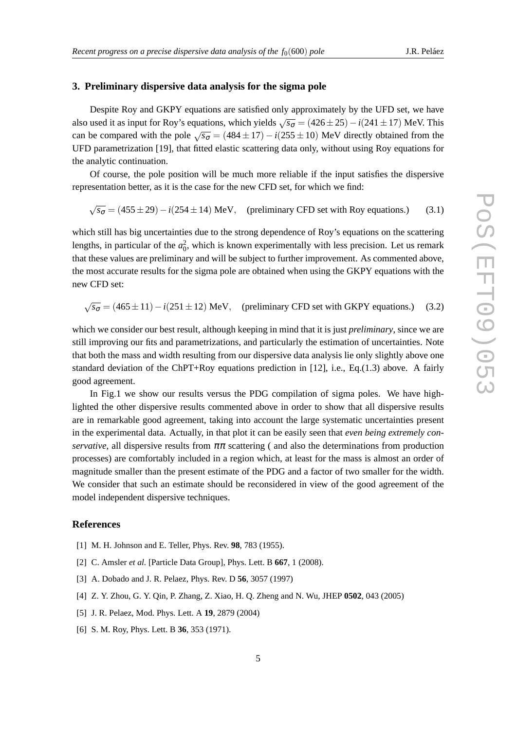#### **3. Preliminary dispersive data analysis for the sigma pole**

Despite Roy and GKPY equations are satisfied only approximately by the UFD set, we have also used it as input for Roy's equations, which yields  $\sqrt{s_{\sigma}}$  = (426 ± 25) – *i*(241 ± 17) MeV. This can be compared with the pole  $\sqrt{s_{\sigma}}$  = (484 ± 17) – *i*(255 ± 10) MeV directly obtained from the UFD parametrization [19], that fitted elastic scattering data only, without using Roy equations for the analytic continuation.

Of course, the pole position will be much more reliable if the input satisfies the dispersive representation better, as it is the case for the new CFD set, for which we find:

$$
\sqrt{s_{\sigma}} = (455 \pm 29) - i(254 \pm 14) \text{ MeV}, \text{ (preliminary CFD set with Roy equations.)}
$$
 (3.1)

which still has big uncertainties due to the strong dependence of Roy's equations on the scattering lengths, in particular of the  $a_0^2$ , which is known experimentally with less precision. Let us remark that these values are preliminary and will be subject to further improvement. As commented above, the most accurate results for the sigma pole are obtained when using the GKPY equations with the new CFD set:

 $\sqrt{s_{\sigma}}$  = (465 ± 11) − *i*(251 ± 12) MeV, (preliminary CFD set with GKPY equations.) (3.2)

which we consider our best result, although keeping in mind that it is just *preliminary*, since we are still improving our fits and parametrizations, and particularly the estimation of uncertainties. Note that both the mass and width resulting from our dispersive data analysis lie only slightly above one standard deviation of the ChPT+Roy equations prediction in [12], i.e., Eq.(1.3) above. A fairly good agreement.

In Fig.1 we show our results versus the PDG compilation of sigma poles. We have highlighted the other dispersive results commented above in order to show that all dispersive results are in remarkable good agreement, taking into account the large systematic uncertainties present in the experimental data. Actually, in that plot it can be easily seen that *even being extremely conservative*, all dispersive results from  $\pi\pi$  scattering ( and also the determinations from production processes) are comfortably included in a region which, at least for the mass is almost an order of magnitude smaller than the present estimate of the PDG and a factor of two smaller for the width. We consider that such an estimate should be reconsidered in view of the good agreement of the model independent dispersive techniques.

#### **References**

- [1] M. H. Johnson and E. Teller, Phys. Rev. **98**, 783 (1955).
- [2] C. Amsler *et al.* [Particle Data Group], Phys. Lett. B **667**, 1 (2008).
- [3] A. Dobado and J. R. Pelaez, Phys. Rev. D **56**, 3057 (1997)
- [4] Z. Y. Zhou, G. Y. Qin, P. Zhang, Z. Xiao, H. Q. Zheng and N. Wu, JHEP **0502**, 043 (2005)
- [5] J. R. Pelaez, Mod. Phys. Lett. A **19**, 2879 (2004)
- [6] S. M. Roy, Phys. Lett. B **36**, 353 (1971).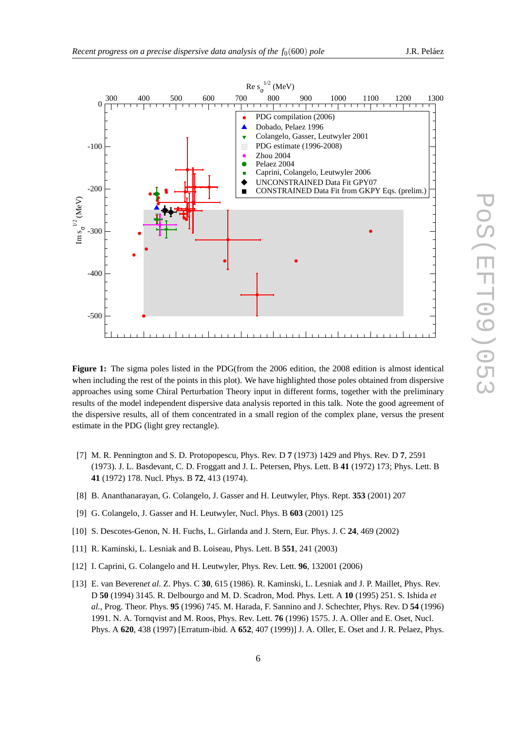

**Figure 1:** The sigma poles listed in the PDG(from the 2006 edition, the 2008 edition is almost identical when including the rest of the points in this plot). We have highlighted those poles obtained from dispersive approaches using some Chiral Perturbation Theory input in different forms, together with the preliminary results of the model independent dispersive data analysis reported in this talk. Note the good agreement of the dispersive results, all of them concentrated in a small region of the complex plane, versus the present estimate in the PDG (light grey rectangle).

- [7] M. R. Pennington and S. D. Protopopescu, Phys. Rev. D **7** (1973) 1429 and Phys. Rev. D **7**, 2591 (1973). J. L. Basdevant, C. D. Froggatt and J. L. Petersen, Phys. Lett. B **41** (1972) 173; Phys. Lett. B **41** (1972) 178. Nucl. Phys. B **72**, 413 (1974).
- [8] B. Ananthanarayan, G. Colangelo, J. Gasser and H. Leutwyler, Phys. Rept. **353** (2001) 207
- [9] G. Colangelo, J. Gasser and H. Leutwyler, Nucl. Phys. B **603** (2001) 125
- [10] S. Descotes-Genon, N. H. Fuchs, L. Girlanda and J. Stern, Eur. Phys. J. C **24**, 469 (2002)
- [11] R. Kaminski, L. Lesniak and B. Loiseau, Phys. Lett. B **551**, 241 (2003)
- [12] I. Caprini, G. Colangelo and H. Leutwyler, Phys. Rev. Lett. **96**, 132001 (2006)
- [13] E. van Beveren*et al.* Z. Phys. C **30**, 615 (1986). R. Kaminski, L. Lesniak and J. P. Maillet, Phys. Rev. D **50** (1994) 3145. R. Delbourgo and M. D. Scadron, Mod. Phys. Lett. A **10** (1995) 251. S. Ishida *et al.*, Prog. Theor. Phys. **95** (1996) 745. M. Harada, F. Sannino and J. Schechter, Phys. Rev. D **54** (1996) 1991. N. A. Tornqvist and M. Roos, Phys. Rev. Lett. **76** (1996) 1575. J. A. Oller and E. Oset, Nucl. Phys. A **620**, 438 (1997) [Erratum-ibid. A **652**, 407 (1999)] J. A. Oller, E. Oset and J. R. Pelaez, Phys.